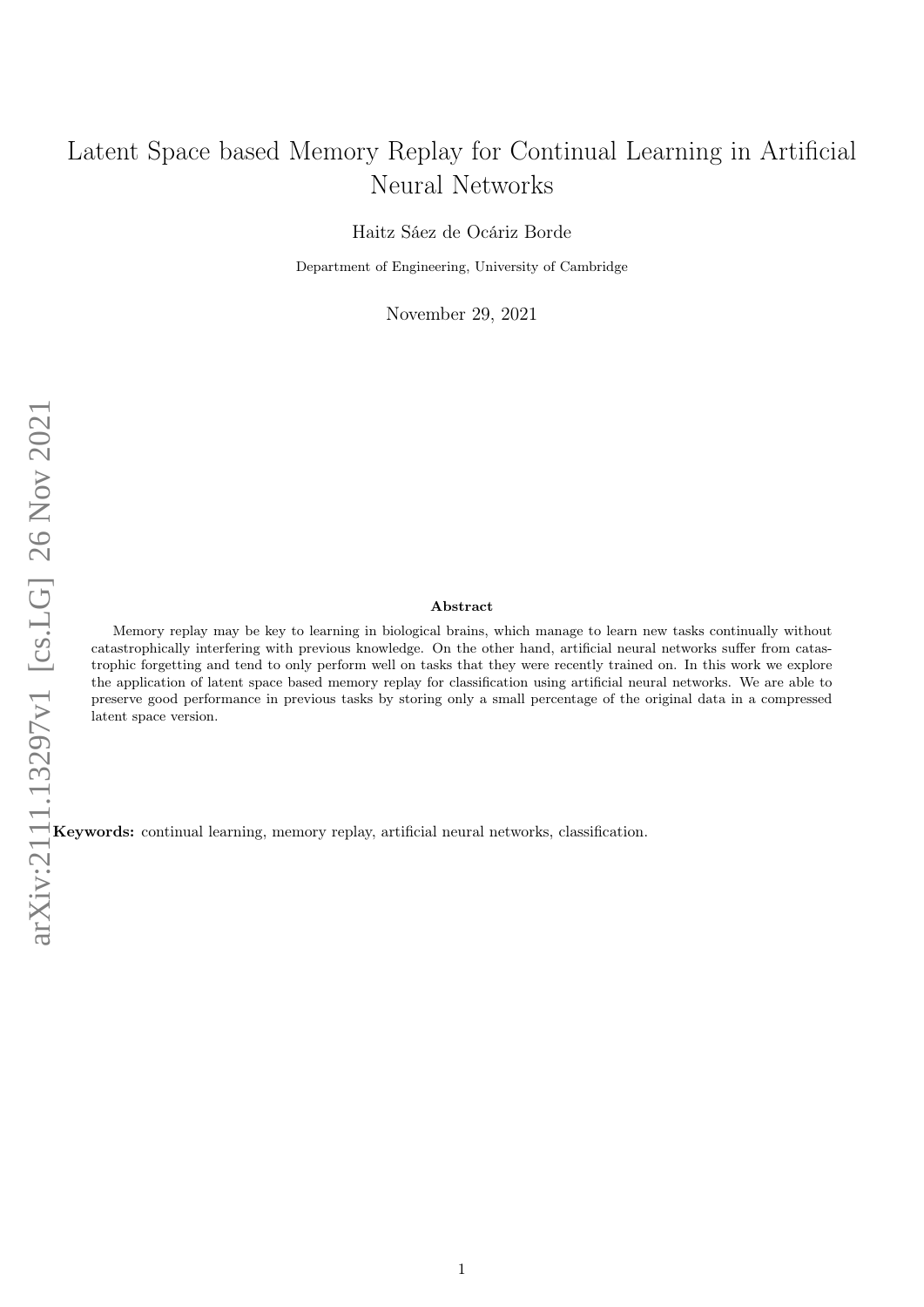# Latent Space based Memory Replay for Continual Learning in Artificial Neural Networks

Haitz Sáez de Ocáriz Borde

Department of Engineering, University of Cambridge

November 29, 2021

#### Abstract

Memory replay may be key to learning in biological brains, which manage to learn new tasks continually without catastrophically interfering with previous knowledge. On the other hand, artificial neural networks suffer from catastrophic forgetting and tend to only perform well on tasks that they were recently trained on. In this work we explore the application of latent space based memory replay for classification using artificial neural networks. We are able to preserve good performance in previous tasks by storing only a small percentage of the original data in a compressed latent space version.

Keywords: continual learning, memory replay, artificial neural networks, classification.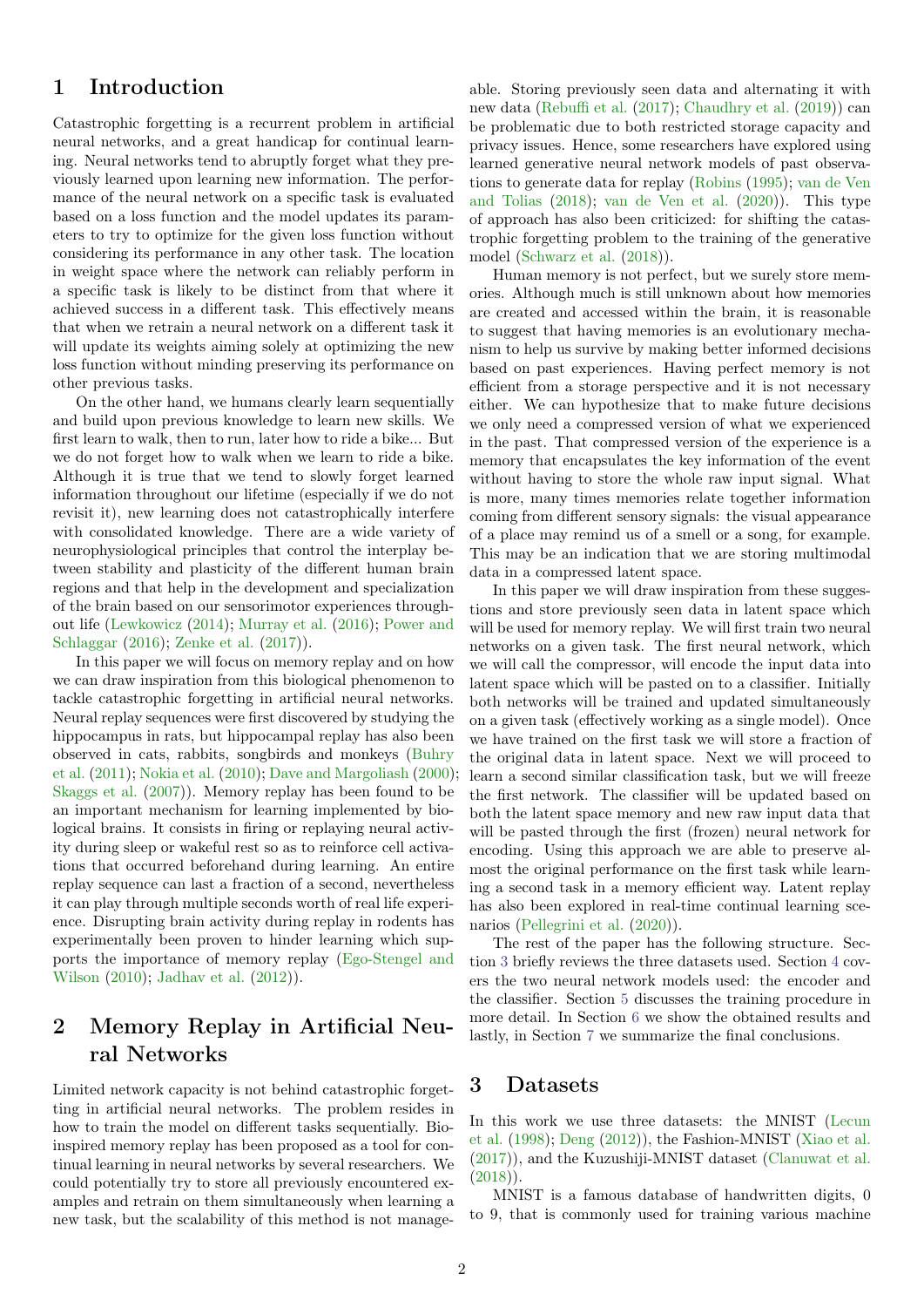### 1 Introduction

Catastrophic forgetting is a recurrent problem in artificial neural networks, and a great handicap for continual learning. Neural networks tend to abruptly forget what they previously learned upon learning new information. The performance of the neural network on a specific task is evaluated based on a loss function and the model updates its parameters to try to optimize for the given loss function without considering its performance in any other task. The location in weight space where the network can reliably perform in a specific task is likely to be distinct from that where it achieved success in a different task. This effectively means that when we retrain a neural network on a different task it will update its weights aiming solely at optimizing the new loss function without minding preserving its performance on other previous tasks.

On the other hand, we humans clearly learn sequentially and build upon previous knowledge to learn new skills. We first learn to walk, then to run, later how to ride a bike... But we do not forget how to walk when we learn to ride a bike. Although it is true that we tend to slowly forget learned information throughout our lifetime (especially if we do not revisit it), new learning does not catastrophically interfere with consolidated knowledge. There are a wide variety of neurophysiological principles that control the interplay between stability and plasticity of the different human brain regions and that help in the development and specialization of the brain based on our sensorimotor experiences throughout life [\(Lewkowicz](#page-5-0) [\(2014\)](#page-5-0); [Murray et al.](#page-5-1) [\(2016\)](#page-5-1); [Power and](#page-5-2) [Schlaggar](#page-5-2) [\(2016\)](#page-5-2); [Zenke et al.](#page-6-0) [\(2017\)](#page-6-0)).

In this paper we will focus on memory replay and on how we can draw inspiration from this biological phenomenon to tackle catastrophic forgetting in artificial neural networks. Neural replay sequences were first discovered by studying the hippocampus in rats, but hippocampal replay has also been observed in cats, rabbits, songbirds and monkeys [\(Buhry](#page-5-3) [et al.](#page-5-3) [\(2011\)](#page-5-3); [Nokia et al.](#page-5-4) [\(2010\)](#page-5-4); [Dave and Margoliash](#page-5-5) [\(2000\)](#page-5-5); [Skaggs et al.](#page-6-1) [\(2007\)](#page-6-1)). Memory replay has been found to be an important mechanism for learning implemented by biological brains. It consists in firing or replaying neural activity during sleep or wakeful rest so as to reinforce cell activations that occurred beforehand during learning. An entire replay sequence can last a fraction of a second, nevertheless it can play through multiple seconds worth of real life experience. Disrupting brain activity during replay in rodents has experimentally been proven to hinder learning which supports the importance of memory replay [\(Ego-Stengel and](#page-5-6) [Wilson](#page-5-6) [\(2010\)](#page-5-6); [Jadhav et al.](#page-5-7) [\(2012\)](#page-5-7)).

# 2 Memory Replay in Artificial Neural Networks

Limited network capacity is not behind catastrophic forgetting in artificial neural networks. The problem resides in how to train the model on different tasks sequentially. Bioinspired memory replay has been proposed as a tool for continual learning in neural networks by several researchers. We could potentially try to store all previously encountered examples and retrain on them simultaneously when learning a new task, but the scalability of this method is not manageable. Storing previously seen data and alternating it with new data [\(Rebuffi et al.](#page-6-2) [\(2017\)](#page-6-2); [Chaudhry et al.](#page-5-8) [\(2019\)](#page-5-8)) can be problematic due to both restricted storage capacity and privacy issues. Hence, some researchers have explored using learned generative neural network models of past observations to generate data for replay [\(Robins](#page-6-3) [\(1995\)](#page-6-3); [van de Ven](#page-6-4) [and Tolias](#page-6-4) [\(2018\)](#page-6-4); [van de Ven et al.](#page-6-5) [\(2020\)](#page-6-5)). This type of approach has also been criticized: for shifting the catastrophic forgetting problem to the training of the generative model [\(Schwarz et al.](#page-6-6) [\(2018\)](#page-6-6)).

Human memory is not perfect, but we surely store memories. Although much is still unknown about how memories are created and accessed within the brain, it is reasonable to suggest that having memories is an evolutionary mechanism to help us survive by making better informed decisions based on past experiences. Having perfect memory is not efficient from a storage perspective and it is not necessary either. We can hypothesize that to make future decisions we only need a compressed version of what we experienced in the past. That compressed version of the experience is a memory that encapsulates the key information of the event without having to store the whole raw input signal. What is more, many times memories relate together information coming from different sensory signals: the visual appearance of a place may remind us of a smell or a song, for example. This may be an indication that we are storing multimodal data in a compressed latent space.

In this paper we will draw inspiration from these suggestions and store previously seen data in latent space which will be used for memory replay. We will first train two neural networks on a given task. The first neural network, which we will call the compressor, will encode the input data into latent space which will be pasted on to a classifier. Initially both networks will be trained and updated simultaneously on a given task (effectively working as a single model). Once we have trained on the first task we will store a fraction of the original data in latent space. Next we will proceed to learn a second similar classification task, but we will freeze the first network. The classifier will be updated based on both the latent space memory and new raw input data that will be pasted through the first (frozen) neural network for encoding. Using this approach we are able to preserve almost the original performance on the first task while learning a second task in a memory efficient way. Latent replay has also been explored in real-time continual learning scenarios [\(Pellegrini et al.](#page-5-9) [\(2020\)](#page-5-9)).

The rest of the paper has the following structure. Section [3](#page-1-0) briefly reviews the three datasets used. Section [4](#page-2-0) covers the two neural network models used: the encoder and the classifier. Section [5](#page-3-0) discusses the training procedure in more detail. In Section [6](#page-3-1) we show the obtained results and lastly, in Section [7](#page-5-10) we summarize the final conclusions.

#### <span id="page-1-0"></span>3 Datasets

In this work we use three datasets: the MNIST [\(Lecun](#page-5-11) [et al.](#page-5-11) [\(1998\)](#page-5-11); [Deng](#page-5-12) [\(2012\)](#page-5-12)), the Fashion-MNIST [\(Xiao et al.](#page-6-7) [\(2017\)](#page-6-7)), and the Kuzushiji-MNIST dataset [\(Clanuwat et al.](#page-5-13) [\(2018\)](#page-5-13)).

MNIST is a famous database of handwritten digits, 0 to 9, that is commonly used for training various machine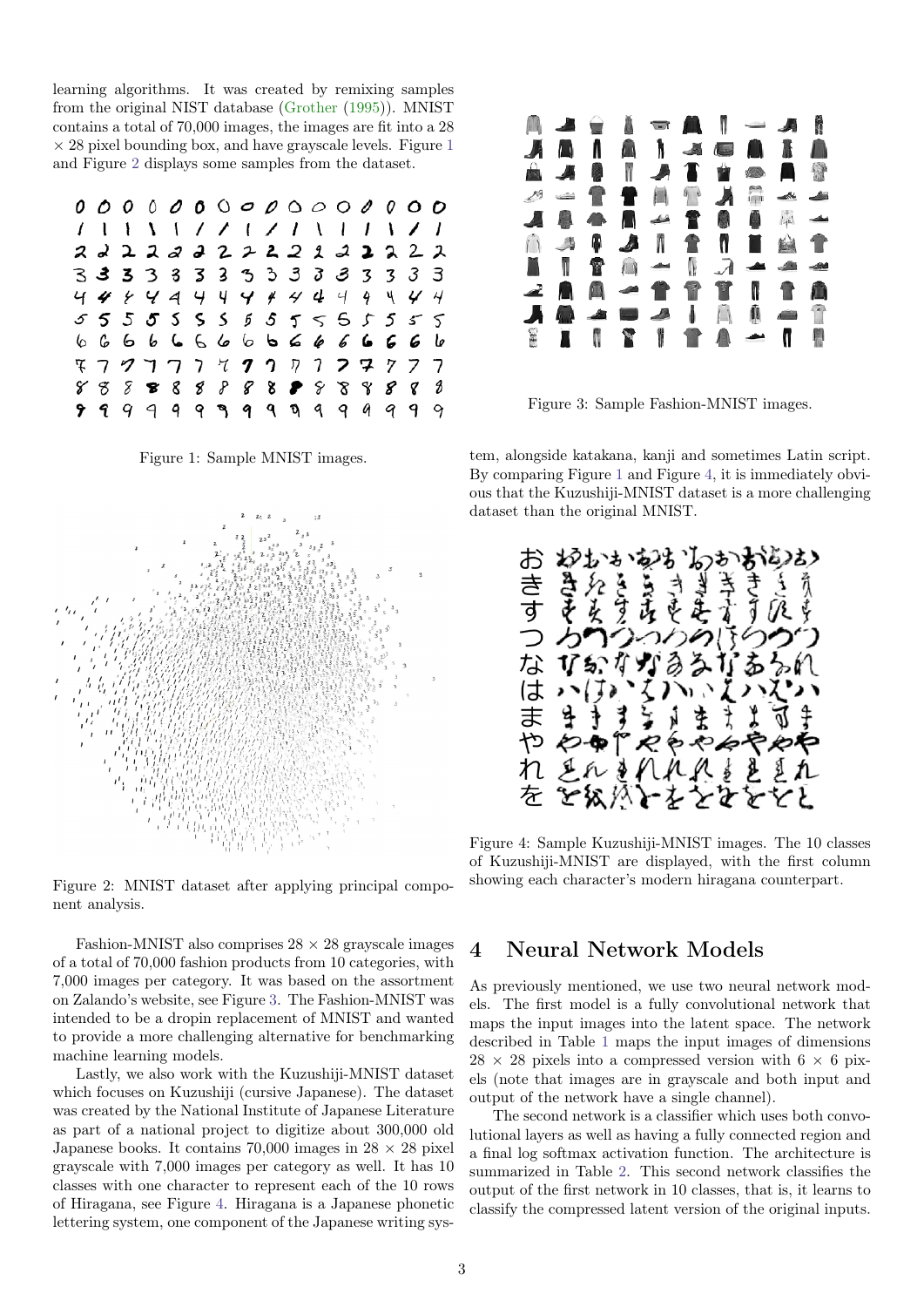learning algorithms. It was created by remixing samples from the original NIST database [\(Grother](#page-5-14) [\(1995\)](#page-5-14)). MNIST contains a total of 70,000 images, the images are fit into a 28  $\times$  28 pixel bounding box, and have grayscale levels. Figure [1](#page-2-1) and Figure [2](#page-2-2) displays some samples from the dataset.

<span id="page-2-1"></span>

|  |  |  |  |  |  |  | 2 2 2 2 2 2 2 2 2 2 2 2 2 2 2 2 2             |  |
|--|--|--|--|--|--|--|-----------------------------------------------|--|
|  |  |  |  |  |  |  | 3 3 3 3 3 3 3 3 3 3 3 3 3 3 3                 |  |
|  |  |  |  |  |  |  |                                               |  |
|  |  |  |  |  |  |  | 555555555555555                               |  |
|  |  |  |  |  |  |  | 6 6 6 6 6 6 6 6 <b>6 6 6 6 6 6 6</b>          |  |
|  |  |  |  |  |  |  | F 7 9 7 7 7 7 <b>7</b> 7 7 7 <b>7 7</b> 7 7 7 |  |
|  |  |  |  |  |  |  |                                               |  |
|  |  |  |  |  |  |  | <b>999999999999999999</b>                     |  |

Figure 1: Sample MNIST images.

<span id="page-2-2"></span>

Figure 2: MNIST dataset after applying principal component analysis.

Fashion-MNIST also comprises  $28 \times 28$  grayscale images of a total of 70,000 fashion products from 10 categories, with 7,000 images per category. It was based on the assortment on Zalando's website, see Figure [3](#page-2-3). The Fashion-MNIST was intended to be a dropin replacement of MNIST and wanted to provide a more challenging alternative for benchmarking machine learning models.

Lastly, we also work with the Kuzushiji-MNIST dataset which focuses on Kuzushiji (cursive Japanese). The dataset was created by the National Institute of Japanese Literature as part of a national project to digitize about 300,000 old Japanese books. It contains 70,000 images in  $28 \times 28$  pixel grayscale with 7,000 images per category as well. It has 10 classes with one character to represent each of the 10 rows of Hiragana, see Figure [4](#page-2-4). Hiragana is a Japanese phonetic lettering system, one component of the Japanese writing sys-

<span id="page-2-3"></span>

Figure 3: Sample Fashion-MNIST images.

tem, alongside katakana, kanji and sometimes Latin script. By comparing Figure [1](#page-2-1) and Figure [4](#page-2-4), it is immediately obvious that the Kuzushiji-MNIST dataset is a more challenging dataset than the original MNIST.

<span id="page-2-4"></span>

Figure 4: Sample Kuzushiji-MNIST images. The 10 classes of Kuzushiji-MNIST are displayed, with the first column showing each character's modern hiragana counterpart.

#### <span id="page-2-0"></span>4 Neural Network Models

As previously mentioned, we use two neural network models. The first model is a fully convolutional network that maps the input images into the latent space. The network described in Table [1](#page-3-2) maps the input images of dimensions  $28 \times 28$  pixels into a compressed version with  $6 \times 6$  pixels (note that images are in grayscale and both input and output of the network have a single channel).

The second network is a classifier which uses both convolutional layers as well as having a fully connected region and a final log softmax activation function. The architecture is summarized in Table [2](#page-3-3). This second network classifies the output of the first network in 10 classes, that is, it learns to classify the compressed latent version of the original inputs.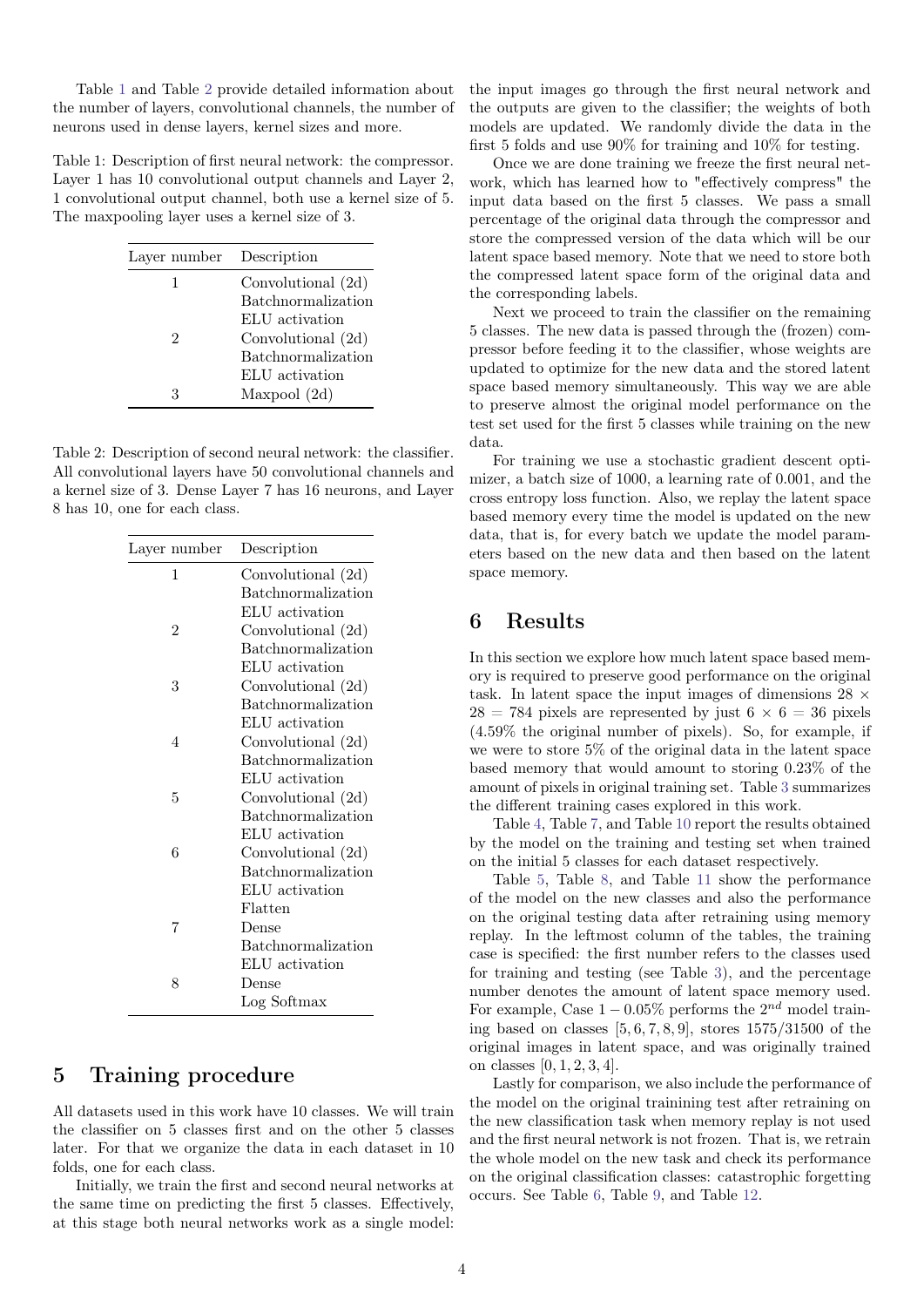Table [1](#page-3-2) and Table [2](#page-3-3) provide detailed information about the number of layers, convolutional channels, the number of neurons used in dense layers, kernel sizes and more.

<span id="page-3-2"></span>Table 1: Description of first neural network: the compressor. Layer 1 has 10 convolutional output channels and Layer 2, 1 convolutional output channel, both use a kernel size of 5. The maxpooling layer uses a kernel size of 3.

| Layer number | Description               |
|--------------|---------------------------|
|              | Convolutional (2d)        |
|              | <b>Batchnormalization</b> |
|              | ELU activation            |
| 2            | Convolutional (2d)        |
|              | <b>Batchnormalization</b> |
|              | ELU activation            |
|              | Maxpool (2d)              |

<span id="page-3-3"></span>Table 2: Description of second neural network: the classifier. All convolutional layers have 50 convolutional channels and a kernel size of 3. Dense Layer 7 has 16 neurons, and Layer 8 has 10, one for each class.

| Layer number   | Description               |
|----------------|---------------------------|
| 1              | Convolutional (2d)        |
|                | <b>Batchnormalization</b> |
|                | ELU activation            |
| $\overline{2}$ | Convolutional (2d)        |
|                | <b>Batchnormalization</b> |
|                | ELU activation            |
| 3              | Convolutional (2d)        |
|                | Batchnormalization        |
|                | ELU activation            |
| 4              | Convolutional (2d)        |
|                | <b>Batchnormalization</b> |
|                | ELU activation            |
| 5              | Convolutional (2d)        |
|                | <b>Batchnormalization</b> |
|                | ELU activation            |
| 6              | Convolutional (2d)        |
|                | Batchnormalization        |
|                | ELU activation            |
|                | Flatten                   |
| 7              | Dense                     |
|                | Batchnormalization        |
|                | ELU activation            |
| 8              | Dense                     |
|                | Log Softmax               |

### <span id="page-3-0"></span>5 Training procedure

All datasets used in this work have 10 classes. We will train the classifier on 5 classes first and on the other 5 classes later. For that we organize the data in each dataset in 10 folds, one for each class.

Initially, we train the first and second neural networks at the same time on predicting the first 5 classes. Effectively, at this stage both neural networks work as a single model: the input images go through the first neural network and the outputs are given to the classifier; the weights of both models are updated. We randomly divide the data in the first 5 folds and use 90% for training and 10% for testing.

Once we are done training we freeze the first neural network, which has learned how to "effectively compress" the input data based on the first 5 classes. We pass a small percentage of the original data through the compressor and store the compressed version of the data which will be our latent space based memory. Note that we need to store both the compressed latent space form of the original data and the corresponding labels.

Next we proceed to train the classifier on the remaining 5 classes. The new data is passed through the (frozen) compressor before feeding it to the classifier, whose weights are updated to optimize for the new data and the stored latent space based memory simultaneously. This way we are able to preserve almost the original model performance on the test set used for the first 5 classes while training on the new data.

For training we use a stochastic gradient descent optimizer, a batch size of 1000, a learning rate of 0.001, and the cross entropy loss function. Also, we replay the latent space based memory every time the model is updated on the new data, that is, for every batch we update the model parameters based on the new data and then based on the latent space memory.

### <span id="page-3-1"></span>6 Results

In this section we explore how much latent space based memory is required to preserve good performance on the original task. In latent space the input images of dimensions 28  $\times$  $28 = 784$  pixels are represented by just  $6 \times 6 = 36$  pixels (4.59% the original number of pixels). So, for example, if we were to store 5% of the original data in the latent space based memory that would amount to storing 0.23% of the amount of pixels in original training set. Table [3](#page-4-0) summarizes the different training cases explored in this work.

Table [4](#page-4-1), Table [7](#page-4-2), and Table [10](#page-5-15) report the results obtained by the model on the training and testing set when trained on the initial 5 classes for each dataset respectively.

Table [5](#page-4-3), Table [8](#page-4-4), and Table [11](#page-5-16) show the performance of the model on the new classes and also the performance on the original testing data after retraining using memory replay. In the leftmost column of the tables, the training case is specified: the first number refers to the classes used for training and testing (see Table [3](#page-4-0)), and the percentage number denotes the amount of latent space memory used. For example, Case  $1 - 0.05\%$  performs the  $2^{nd}$  model training based on classes  $[5, 6, 7, 8, 9]$ , stores  $1575/31500$  of the original images in latent space, and was originally trained on classes [0, 1, 2, 3, 4].

Lastly for comparison, we also include the performance of the model on the original trainining test after retraining on the new classification task when memory replay is not used and the first neural network is not frozen. That is, we retrain the whole model on the new task and check its performance on the original classification classes: catastrophic forgetting occurs. See Table [6](#page-4-5), Table [9](#page-4-6), and Table [12](#page-5-17).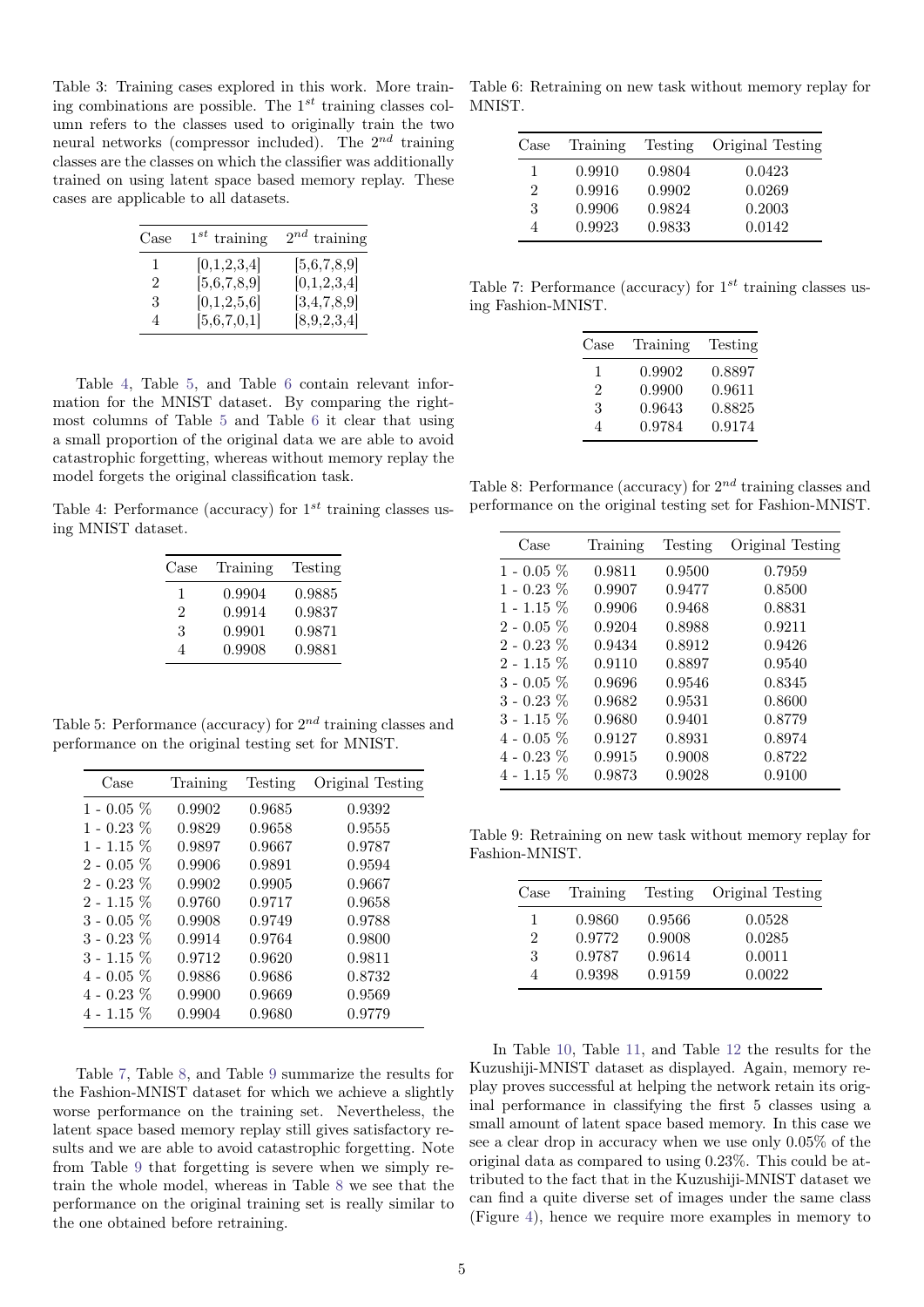<span id="page-4-0"></span>Table 3: Training cases explored in this work. More training combinations are possible. The  $1^{st}$  training classes column refers to the classes used to originally train the two neural networks (compressor included). The  $2^{nd}$  training classes are the classes on which the classifier was additionally trained on using latent space based memory replay. These cases are applicable to all datasets.

| Case           | $1^{st}$ training | $2^{nd}$ training |
|----------------|-------------------|-------------------|
| 1.             | [0,1,2,3,4]       | [5,6,7,8,9]       |
| $\mathfrak{D}$ | [5,6,7,8,9]       | [0,1,2,3,4]       |
| 3              | [0,1,2,5,6]       | [3,4,7,8,9]       |
| 4              | [5,6,7,0,1]       | [8,9,2,3,4]       |

Table [4](#page-4-1), Table [5](#page-4-3), and Table [6](#page-4-5) contain relevant information for the MNIST dataset. By comparing the rightmost columns of Table [5](#page-4-3) and Table [6](#page-4-5) it clear that using a small proportion of the original data we are able to avoid catastrophic forgetting, whereas without memory replay the model forgets the original classification task.

<span id="page-4-1"></span>Table 4: Performance (accuracy) for  $1^{st}$  training classes using MNIST dataset.

| Case | Training | Testing |
|------|----------|---------|
| 1    | 0.9904   | 0.9885  |
| 2    | 0.9914   | 0.9837  |
| 3    | 0.9901   | 0.9871  |
|      | 0.9908   | 0.9881  |

<span id="page-4-3"></span>Table 5: Performance (accuracy) for  $2^{nd}$  training classes and performance on the original testing set for MNIST.

| Case             | Training | Testing | Original Testing |
|------------------|----------|---------|------------------|
| 1 - 0.05 $\%$    | 0.9902   | 0.9685  | 0.9392           |
| 1 - 0.23 $\%$    | 0.9829   | 0.9658  | 0.9555           |
| $1$ - $1.15~\%$  | 0.9897   | 0.9667  | 0.9787           |
| $2$ - 0.05 $\%$  | 0.9906   | 0.9891  | 0.9594           |
| $2$ - $0.23~\%$  | 0.9902   | 0.9905  | 0.9667           |
| $2$ - $1.15~\%$  | 0.9760   | 0.9717  | 0.9658           |
| 3 - 0.05 %       | 0.9908   | 0.9749  | 0.9788           |
| 3 - 0.23 $\%$    | 0.9914   | 0.9764  | 0.9800           |
| $3$ - $1.15\ \%$ | 0.9712   | 0.9620  | 0.9811           |
| 4 - 0.05 $\%$    | 0.9886   | 0.9686  | 0.8732           |
| 4 - 0.23 $\%$    | 0.9900   | 0.9669  | 0.9569           |
| $4$ - $1.15~\%$  | 0.9904   | 0.9680  | 0.9779           |

Table [7](#page-4-2), Table [8](#page-4-4), and Table [9](#page-4-6) summarize the results for the Fashion-MNIST dataset for which we achieve a slightly worse performance on the training set. Nevertheless, the latent space based memory replay still gives satisfactory results and we are able to avoid catastrophic forgetting. Note from Table [9](#page-4-6) that forgetting is severe when we simply retrain the whole model, whereas in Table [8](#page-4-4) we see that the performance on the original training set is really similar to the one obtained before retraining.

<span id="page-4-5"></span>Table 6: Retraining on new task without memory replay for MNIST.

| Case | Training | Testing | <b>Original Testing</b> |
|------|----------|---------|-------------------------|
| 1    | 0.9910   | 0.9804  | 0.0423                  |
| 2    | 0.9916   | 0.9902  | 0.0269                  |
| 3    | 0.9906   | 0.9824  | 0.2003                  |
| 4    | 0.9923   | 0.9833  | 0.0142                  |

<span id="page-4-2"></span>Table 7: Performance (accuracy) for  $1^{st}$  training classes using Fashion-MNIST.

| Case | Training | Testing |
|------|----------|---------|
| L    | 0.9902   | 0.8897  |
| 2    | 0.9900   | 0.9611  |
| 3    | 0.9643   | 0.8825  |
|      | 0.9784   | 0.9174  |

<span id="page-4-4"></span>Table 8: Performance (accuracy) for  $2^{nd}$  training classes and performance on the original testing set for Fashion-MNIST.

| Case         | Training | Testing | Original Testing |
|--------------|----------|---------|------------------|
| $1 - 0.05\%$ | 0.9811   | 0.9500  | 0.7959           |
| $1 - 0.23\%$ | 0.9907   | 0.9477  | 0.8500           |
| $1 - 1.15\%$ | 0.9906   | 0.9468  | 0.8831           |
| $2 - 0.05\%$ | 0.9204   | 0.8988  | 0.9211           |
| $2 - 0.23\%$ | 0.9434   | 0.8912  | 0.9426           |
| $2 - 1.15\%$ | 0.9110   | 0.8897  | 0.9540           |
| $3 - 0.05\%$ | 0.9696   | 0.9546  | 0.8345           |
| $3 - 0.23\%$ | 0.9682   | 0.9531  | 0.8600           |
| $3 - 1.15\%$ | 0.9680   | 0.9401  | 0.8779           |
| $4 - 0.05\%$ | 0.9127   | 0.8931  | 0.8974           |
| $4 - 0.23\%$ | 0.9915   | 0.9008  | 0.8722           |
| $4 - 1.15\%$ | 0.9873   | 0.9028  | 0.9100           |

<span id="page-4-6"></span>Table 9: Retraining on new task without memory replay for Fashion-MNIST.

| Case | Training | Testing | Original Testing |
|------|----------|---------|------------------|
|      | 0.9860   | 0.9566  | 0.0528           |
| 2    | 0.9772   | 0.9008  | 0.0285           |
| 3    | 0.9787   | 0.9614  | 0.0011           |
| 4    | 0.9398   | 0.9159  | 0.0022           |

In Table [10](#page-5-15), Table [11](#page-5-16), and Table [12](#page-5-17) the results for the Kuzushiji-MNIST dataset as displayed. Again, memory replay proves successful at helping the network retain its original performance in classifying the first 5 classes using a small amount of latent space based memory. In this case we see a clear drop in accuracy when we use only 0.05% of the original data as compared to using 0.23%. This could be attributed to the fact that in the Kuzushiji-MNIST dataset we can find a quite diverse set of images under the same class (Figure [4](#page-2-4)), hence we require more examples in memory to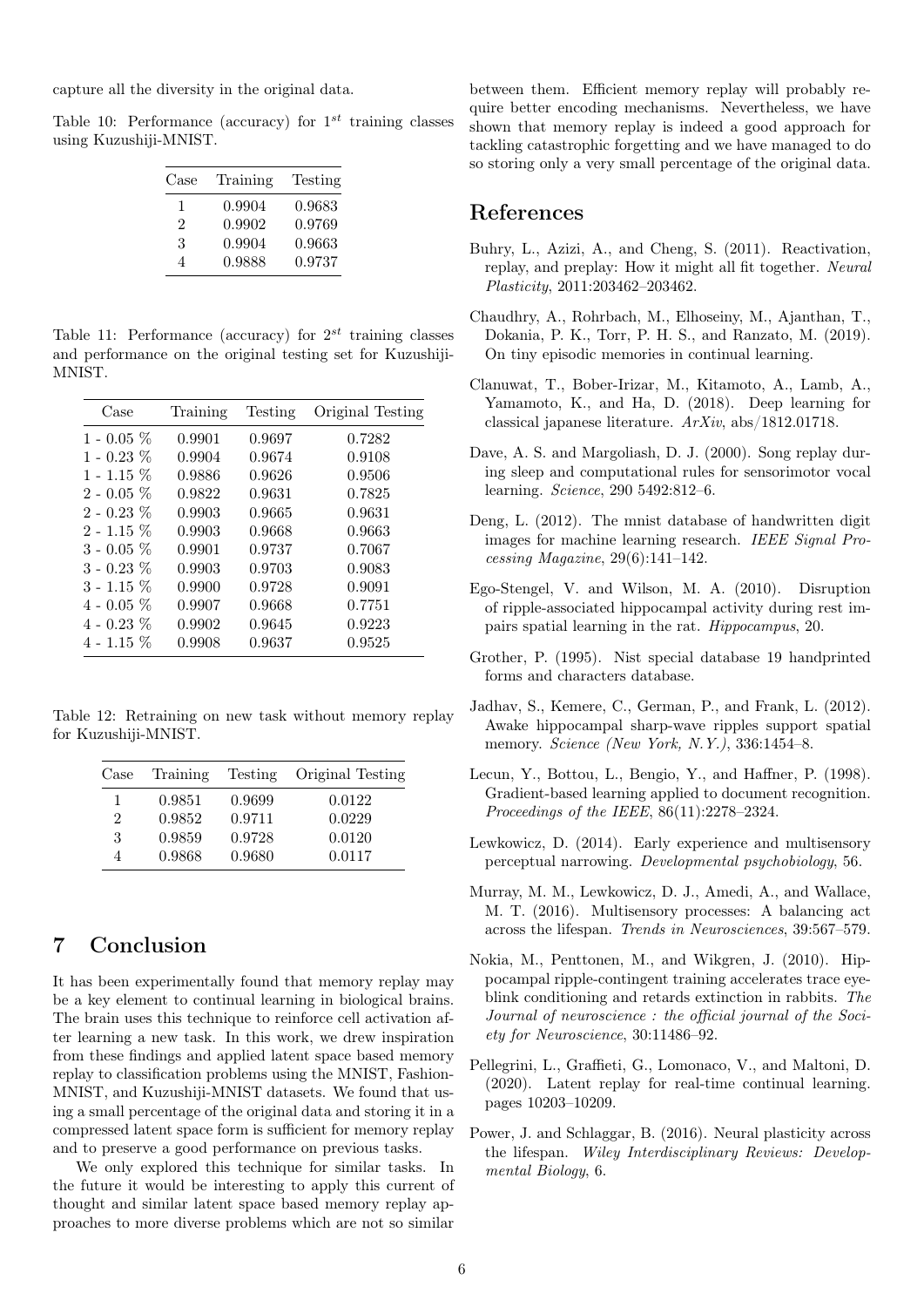capture all the diversity in the original data.

<span id="page-5-15"></span>Table 10: Performance (accuracy) for  $1^{st}$  training classes using Kuzushiji-MNIST.

| Case | Training | Testing |
|------|----------|---------|
| ı    | 0.9904   | 0.9683  |
| 2    | 0.9902   | 0.9769  |
| 3    | 0.9904   | 0.9663  |
|      | 0.9888   | 0.9737  |

<span id="page-5-16"></span>Table 11: Performance (accuracy) for  $2^{st}$  training classes and performance on the original testing set for Kuzushiji-MNIST.

| Case            | Training | Testing | Original Testing |
|-----------------|----------|---------|------------------|
| 1 - 0.05 $\%$   | 0.9901   | 0.9697  | 0.7282           |
| 1 - 0.23 $%$    | 0.9904   | 0.9674  | 0.9108           |
| 1 - 1.15 $%$    | 0.9886   | 0.9626  | 0.9506           |
| $2$ - 0.05 $\%$ | 0.9822   | 0.9631  | 0.7825           |
| $2$ - 0.23 $\%$ | 0.9903   | 0.9665  | 0.9631           |
| $2$ - 1.15 $\%$ | 0.9903   | 0.9668  | 0.9663           |
| 3 - 0.05 %      | 0.9901   | 0.9737  | 0.7067           |
| 3 - 0.23 $\%$   | 0.9903   | 0.9703  | 0.9083           |
| $3$ - $1.15~\%$ | 0.9900   | 0.9728  | 0.9091           |
| 4 - 0.05 %      | 0.9907   | 0.9668  | 0.7751           |
| 4 - 0.23 %      | 0.9902   | 0.9645  | 0.9223           |
| $4$ - $1.15~\%$ | 0.9908   | 0.9637  | 0.9525           |
|                 |          |         |                  |

<span id="page-5-17"></span>Table 12: Retraining on new task without memory replay for Kuzushiji-MNIST.

| Case | Training | Testing | Original Testing |
|------|----------|---------|------------------|
|      | 0.9851   | 0.9699  | 0.0122           |
| 2    | 0.9852   | 0.9711  | 0.0229           |
| 3    | 0.9859   | 0.9728  | 0.0120           |
|      | 0.9868   | 0.9680  | 0.0117           |

## <span id="page-5-10"></span>7 Conclusion

It has been experimentally found that memory replay may be a key element to continual learning in biological brains. The brain uses this technique to reinforce cell activation after learning a new task. In this work, we drew inspiration from these findings and applied latent space based memory replay to classification problems using the MNIST, Fashion-MNIST, and Kuzushiji-MNIST datasets. We found that using a small percentage of the original data and storing it in a compressed latent space form is sufficient for memory replay and to preserve a good performance on previous tasks.

We only explored this technique for similar tasks. In the future it would be interesting to apply this current of thought and similar latent space based memory replay approaches to more diverse problems which are not so similar

between them. Efficient memory replay will probably require better encoding mechanisms. Nevertheless, we have shown that memory replay is indeed a good approach for tackling catastrophic forgetting and we have managed to do so storing only a very small percentage of the original data.

#### References

- <span id="page-5-3"></span>Buhry, L., Azizi, A., and Cheng, S. (2011). Reactivation, replay, and preplay: How it might all fit together. Neural Plasticity, 2011:203462–203462.
- <span id="page-5-8"></span>Chaudhry, A., Rohrbach, M., Elhoseiny, M., Ajanthan, T., Dokania, P. K., Torr, P. H. S., and Ranzato, M. (2019). On tiny episodic memories in continual learning.
- <span id="page-5-13"></span>Clanuwat, T., Bober-Irizar, M., Kitamoto, A., Lamb, A., Yamamoto, K., and Ha, D. (2018). Deep learning for classical japanese literature. ArXiv, abs/1812.01718.
- <span id="page-5-5"></span>Dave, A. S. and Margoliash, D. J. (2000). Song replay during sleep and computational rules for sensorimotor vocal learning. Science, 290 5492:812–6.
- <span id="page-5-12"></span>Deng, L. (2012). The mnist database of handwritten digit images for machine learning research. IEEE Signal Processing Magazine, 29(6):141–142.
- <span id="page-5-6"></span>Ego-Stengel, V. and Wilson, M. A. (2010). Disruption of ripple-associated hippocampal activity during rest impairs spatial learning in the rat. Hippocampus, 20.
- <span id="page-5-14"></span>Grother, P. (1995). Nist special database 19 handprinted forms and characters database.
- <span id="page-5-7"></span>Jadhav, S., Kemere, C., German, P., and Frank, L. (2012). Awake hippocampal sharp-wave ripples support spatial memory. Science (New York, N.Y.), 336:1454-8.
- <span id="page-5-11"></span>Lecun, Y., Bottou, L., Bengio, Y., and Haffner, P. (1998). Gradient-based learning applied to document recognition. Proceedings of the IEEE, 86(11):2278–2324.
- <span id="page-5-0"></span>Lewkowicz, D. (2014). Early experience and multisensory perceptual narrowing. Developmental psychobiology, 56.
- <span id="page-5-1"></span>Murray, M. M., Lewkowicz, D. J., Amedi, A., and Wallace, M. T. (2016). Multisensory processes: A balancing act across the lifespan. Trends in Neurosciences, 39:567–579.
- <span id="page-5-4"></span>Nokia, M., Penttonen, M., and Wikgren, J. (2010). Hippocampal ripple-contingent training accelerates trace eyeblink conditioning and retards extinction in rabbits. The Journal of neuroscience : the official journal of the Society for Neuroscience, 30:11486–92.
- <span id="page-5-9"></span>Pellegrini, L., Graffieti, G., Lomonaco, V., and Maltoni, D. (2020). Latent replay for real-time continual learning. pages 10203–10209.
- <span id="page-5-2"></span>Power, J. and Schlaggar, B. (2016). Neural plasticity across the lifespan. Wiley Interdisciplinary Reviews: Developmental Biology, 6.